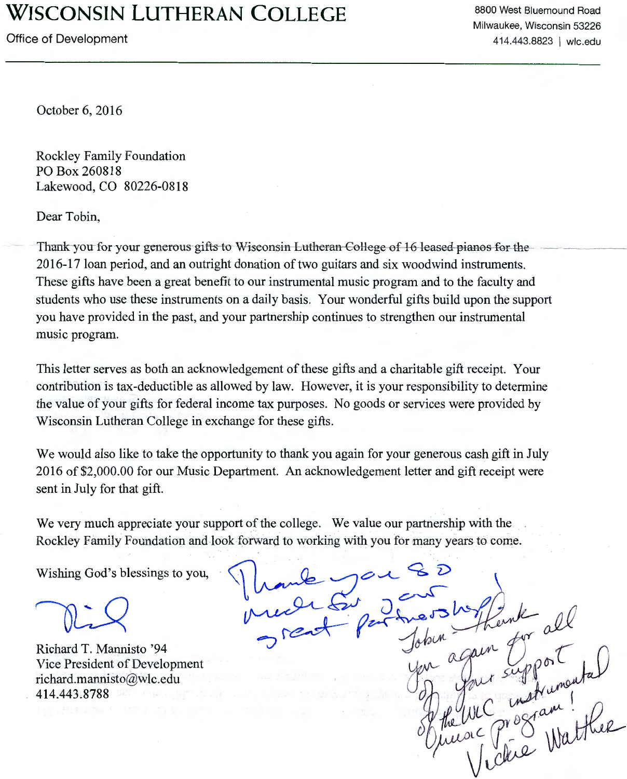## **WISCONSIN LUTHERAN COLLEGE**

Office of Development

8800 West Bluemound Road Milwaukee, Wisconsin 53226 414.443.8823 I wlc.edu

October 6, 2016

Rockley Family Foundation PO Box 260818 Lakewood, CO 80226-0818

Dear Tobin,

Thank-you for your generous gifts to Wiseonsin-Lutheran-College of 16 leased pianos for the 2016-17 loan period, and an outright donation of two guitars and six woodwind instruments. These gifts have been a great benefit to our instrumental music program and to the faculty and students who use these instruments on a daily basis. Your wonderful gifts build upon the support you have provided in the past, and your partnership continues to strengthen our instrumental music program.

This letter serves as both an acknowledgement of these gifts and a charitable gift receipt. Your contribution is tax-deductible as allowed by law. However, it is your responsibility to determine the value of your gifts for federal income tax purposes. No goods or services were provided by Wisconsin Lutheran College in exchange for these gifts.

We would also like to take the opportunity to thank you again for your generous cash gift in July 2016 of \$2,000.00 for our Music Department. An acknowledgement letter and gift receipt were sent in July for that gift.

We very much appreciate your support of the college. We value our partnership with the Rockley Family Foundation and look forward to working with you for many years to come.

Wishing God's blessings to you,

Richard T. Mannisto '94 Vice President of Development richard.mannisto@wlc.edu 414.443.8788

un Eupport<br>ur support del<br>c program!<br>c program!<br>f chie Watther